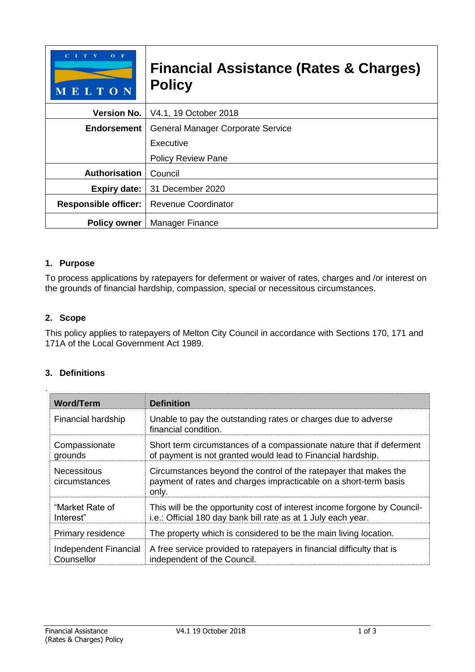| $O$ F<br>MELTON             | <b>Financial Assistance (Rates &amp; Charges)</b><br><b>Policy</b> |  |
|-----------------------------|--------------------------------------------------------------------|--|
| <b>Version No.</b>          | V4.1, 19 October 2018                                              |  |
| <b>Endorsement</b>          | <b>General Manager Corporate Service</b>                           |  |
|                             | Executive                                                          |  |
|                             | <b>Policy Review Pane</b>                                          |  |
| <b>Authorisation</b>        | Council                                                            |  |
| <b>Expiry date:</b>         | 31 December 2020                                                   |  |
| <b>Responsible officer:</b> | <b>Revenue Coordinator</b>                                         |  |
| <b>Policy owner</b>         | Manager Finance                                                    |  |

## **1. Purpose**

To process applications by ratepayers for deferment or waiver of rates, charges and /or interest on the grounds of financial hardship, compassion, special or necessitous circumstances.

#### **2. Scope**

This policy applies to ratepayers of Melton City Council in accordance with Sections 170, 171 and 171A of the Local Government Act 1989.

#### **3. Definitions**

| <b>Word/Term</b>                    | <b>Definition</b>                                                                                                                             |
|-------------------------------------|-----------------------------------------------------------------------------------------------------------------------------------------------|
| Financial hardship                  | Unable to pay the outstanding rates or charges due to adverse<br>financial condition.                                                         |
| Compassionate<br>grounds            | Short term circumstances of a compassionate nature that if deferment<br>of payment is not granted would lead to Financial hardship.           |
| Necessitous<br>circumstances        | Circumstances beyond the control of the ratepayer that makes the<br>payment of rates and charges impracticable on a short-term basis<br>only. |
| "Market Rate of<br>Interest"        | This will be the opportunity cost of interest income forgone by Council-<br>i.e.: Official 180 day bank bill rate as at 1 July each year.     |
| Primary residence                   | The property which is considered to be the main living location.                                                                              |
| Independent Financial<br>Counsellor | A free service provided to ratepayers in financial difficulty that is<br>independent of the Council.                                          |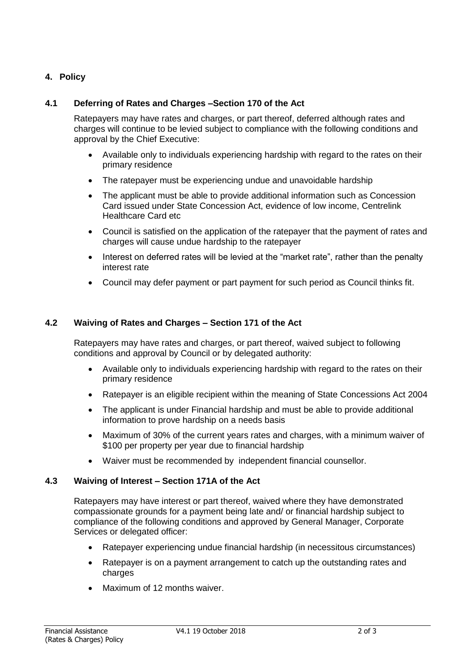## **4. Policy**

## **4.1 Deferring of Rates and Charges –Section 170 of the Act**

Ratepayers may have rates and charges, or part thereof, deferred although rates and charges will continue to be levied subject to compliance with the following conditions and approval by the Chief Executive:

- Available only to individuals experiencing hardship with regard to the rates on their primary residence
- The ratepayer must be experiencing undue and unavoidable hardship
- The applicant must be able to provide additional information such as Concession Card issued under State Concession Act, evidence of low income, Centrelink Healthcare Card etc
- Council is satisfied on the application of the ratepayer that the payment of rates and charges will cause undue hardship to the ratepayer
- Interest on deferred rates will be levied at the "market rate", rather than the penalty interest rate
- Council may defer payment or part payment for such period as Council thinks fit.

## **4.2 Waiving of Rates and Charges – Section 171 of the Act**

Ratepayers may have rates and charges, or part thereof, waived subject to following conditions and approval by Council or by delegated authority:

- Available only to individuals experiencing hardship with regard to the rates on their primary residence
- Ratepayer is an eligible recipient within the meaning of State Concessions Act 2004
- The applicant is under Financial hardship and must be able to provide additional information to prove hardship on a needs basis
- Maximum of 30% of the current years rates and charges, with a minimum waiver of \$100 per property per year due to financial hardship
- Waiver must be recommended by independent financial counsellor.

#### **4.3 Waiving of Interest – Section 171A of the Act**

Ratepayers may have interest or part thereof, waived where they have demonstrated compassionate grounds for a payment being late and/ or financial hardship subject to compliance of the following conditions and approved by General Manager, Corporate Services or delegated officer:

- Ratepayer experiencing undue financial hardship (in necessitous circumstances)
- Ratepayer is on a payment arrangement to catch up the outstanding rates and charges
- Maximum of 12 months waiver.